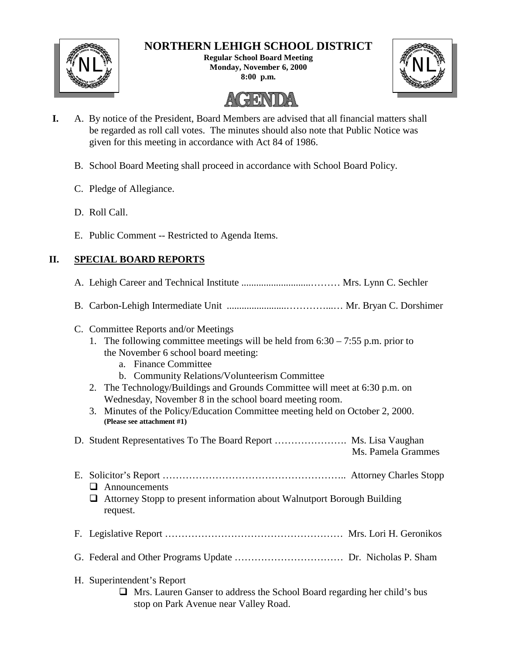

# **NORTHERN LEHIGH SCHOOL DISTRICT**

**Regular School Board Meeting** NL<sup>W</sup><br>Monday, November 6, 2000<br>Economy Research 2000 **8:00 p.m.**



# HEINND

- **I.** A. By notice of the President, Board Members are advised that all financial matters shall be regarded as roll call votes. The minutes should also note that Public Notice was given for this meeting in accordance with Act 84 of 1986.
	- B. School Board Meeting shall proceed in accordance with School Board Policy.
	- C. Pledge of Allegiance.
	- D. Roll Call.
	- E. Public Comment -- Restricted to Agenda Items.

# **II. SPECIAL BOARD REPORTS**

- A. Lehigh Career and Technical Institute ............................……… Mrs. Lynn C. Sechler
- B. Carbon-Lehigh Intermediate Unit ........................…………...… Mr. Bryan C. Dorshimer
- C. Committee Reports and/or Meetings
	- 1. The following committee meetings will be held from 6:30 7:55 p.m. prior to the November 6 school board meeting:
		- a. Finance Committee
		- b. Community Relations/Volunteerism Committee
	- 2. The Technology/Buildings and Grounds Committee will meet at 6:30 p.m. on Wednesday, November 8 in the school board meeting room.
	- 3. Minutes of the Policy/Education Committee meeting held on October 2, 2000. **(Please see attachment #1)**

D. Student Representatives To The Board Report …………………. Ms. Lisa Vaughan Ms. Pamela Grammes

- E. Solicitor's Report ……………………………………………….. Attorney Charles Stopp  $\Box$  Announcements
	- $\Box$  Attorney Stopp to present information about Walnutport Borough Building request.
- F. Legislative Report ……………………………………………… Mrs. Lori H. Geronikos
- G. Federal and Other Programs Update …………………………… Dr. Nicholas P. Sham
- H. Superintendent's Report
	- $\Box$  Mrs. Lauren Ganser to address the School Board regarding her child's bus stop on Park Avenue near Valley Road.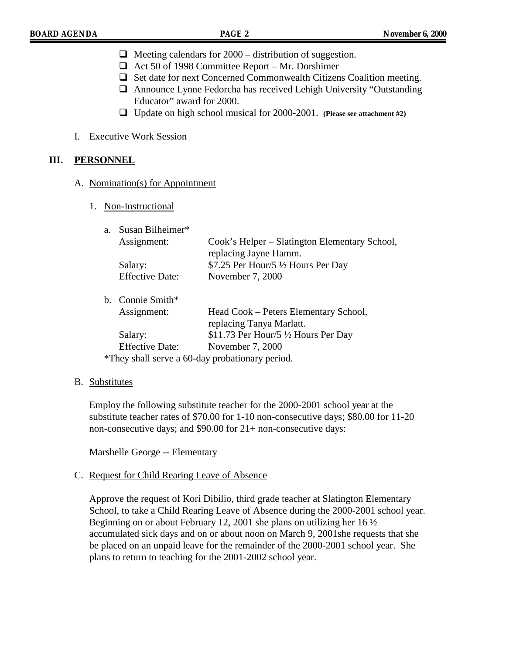- $\Box$  Meeting calendars for 2000 distribution of suggestion.
- $\Box$  Act 50 of 1998 Committee Report Mr. Dorshimer
- $\Box$  Set date for next Concerned Commonwealth Citizens Coalition meeting.
- $\Box$  Announce Lynne Fedorcha has received Lehigh University "Outstanding" Educator" award for 2000.
- ! Update on high school musical for 2000-2001. **(Please see attachment #2)**
- I. Executive Work Session

#### **III. PERSONNEL**

#### A. Nomination(s) for Appointment

1. Non-Instructional

| $a_{-}$ | Susan Bilheimer*       |                                                |
|---------|------------------------|------------------------------------------------|
|         | Assignment:            | Cook's Helper – Slatington Elementary School,  |
|         |                        | replacing Jayne Hamm.                          |
|         | Salary:                | \$7.25 Per Hour/5 1/2 Hours Per Day            |
|         | <b>Effective Date:</b> | November 7, 2000                               |
|         | b. Connie Smith*       |                                                |
|         | Assignment:            | Head Cook – Peters Elementary School,          |
|         |                        | replacing Tanya Marlatt.                       |
|         | Salary:                | \$11.73 Per Hour/5 $\frac{1}{2}$ Hours Per Day |
|         | <b>Effective Date:</b> | November 7, 2000                               |
|         |                        | $\sqrt{11}$ 11 $\sqrt{11}$ 1, 1                |

\*They shall serve a 60-day probationary period.

#### B. Substitutes

Employ the following substitute teacher for the 2000-2001 school year at the substitute teacher rates of \$70.00 for 1-10 non-consecutive days; \$80.00 for 11-20 non-consecutive days; and \$90.00 for 21+ non-consecutive days:

Marshelle George -- Elementary

#### C. Request for Child Rearing Leave of Absence

Approve the request of Kori Dibilio, third grade teacher at Slatington Elementary School, to take a Child Rearing Leave of Absence during the 2000-2001 school year. Beginning on or about February 12, 2001 she plans on utilizing her 16 ½ accumulated sick days and on or about noon on March 9, 2001she requests that she be placed on an unpaid leave for the remainder of the 2000-2001 school year. She plans to return to teaching for the 2001-2002 school year.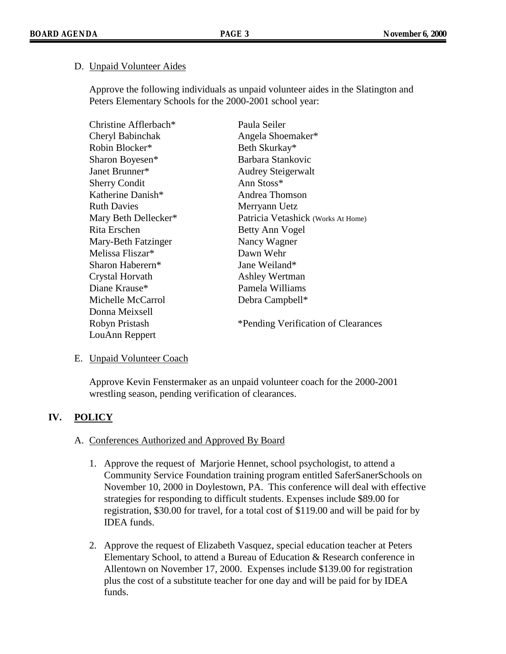#### D. Unpaid Volunteer Aides

Approve the following individuals as unpaid volunteer aides in the Slatington and Peters Elementary Schools for the 2000-2001 school year:

| Christine Afflerbach* | Paula Seiler                        |
|-----------------------|-------------------------------------|
| Cheryl Babinchak      | Angela Shoemaker*                   |
| Robin Blocker*        | Beth Skurkay*                       |
| Sharon Boyesen*       | Barbara Stankovic                   |
| Janet Brunner*        | <b>Audrey Steigerwalt</b>           |
| <b>Sherry Condit</b>  | Ann Stoss*                          |
| Katherine Danish*     | Andrea Thomson                      |
| <b>Ruth Davies</b>    | Merryann Uetz                       |
| Mary Beth Dellecker*  | Patricia Vetashick (Works At Home)  |
| Rita Erschen          | Betty Ann Vogel                     |
| Mary-Beth Fatzinger   | Nancy Wagner                        |
| Melissa Fliszar*      | Dawn Wehr                           |
| Sharon Haberern*      | Jane Weiland*                       |
| Crystal Horvath       | <b>Ashley Wertman</b>               |
| Diane Krause*         | Pamela Williams                     |
| Michelle McCarrol     | Debra Campbell*                     |
| Donna Meixsell        |                                     |
| Robyn Pristash        | *Pending Verification of Clearances |
| LouAnn Reppert        |                                     |

#### E. Unpaid Volunteer Coach

Approve Kevin Fenstermaker as an unpaid volunteer coach for the 2000-2001 wrestling season, pending verification of clearances.

# **IV. POLICY**

#### A. Conferences Authorized and Approved By Board

- 1. Approve the request of Marjorie Hennet, school psychologist, to attend a Community Service Foundation training program entitled SaferSanerSchools on November 10, 2000 in Doylestown, PA. This conference will deal with effective strategies for responding to difficult students. Expenses include \$89.00 for registration, \$30.00 for travel, for a total cost of \$119.00 and will be paid for by IDEA funds.
- 2. Approve the request of Elizabeth Vasquez, special education teacher at Peters Elementary School, to attend a Bureau of Education & Research conference in Allentown on November 17, 2000. Expenses include \$139.00 for registration plus the cost of a substitute teacher for one day and will be paid for by IDEA funds.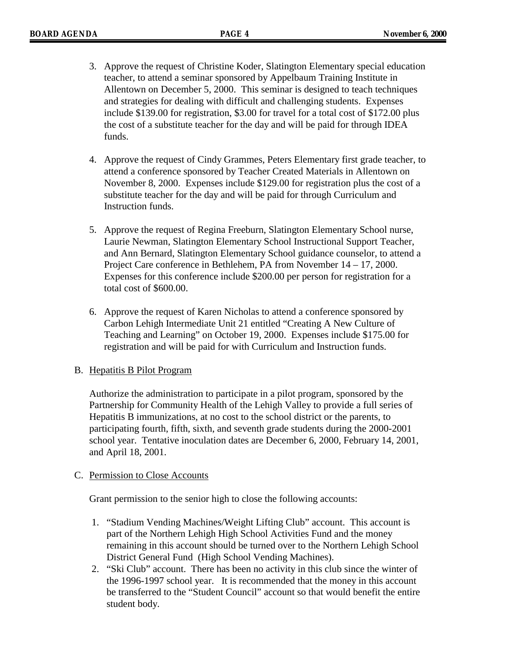- 3. Approve the request of Christine Koder, Slatington Elementary special education teacher, to attend a seminar sponsored by Appelbaum Training Institute in Allentown on December 5, 2000. This seminar is designed to teach techniques and strategies for dealing with difficult and challenging students. Expenses include \$139.00 for registration, \$3.00 for travel for a total cost of \$172.00 plus the cost of a substitute teacher for the day and will be paid for through IDEA funds.
- 4. Approve the request of Cindy Grammes, Peters Elementary first grade teacher, to attend a conference sponsored by Teacher Created Materials in Allentown on November 8, 2000. Expenses include \$129.00 for registration plus the cost of a substitute teacher for the day and will be paid for through Curriculum and Instruction funds.
- 5. Approve the request of Regina Freeburn, Slatington Elementary School nurse, Laurie Newman, Slatington Elementary School Instructional Support Teacher, and Ann Bernard, Slatington Elementary School guidance counselor, to attend a Project Care conference in Bethlehem, PA from November 14 – 17, 2000. Expenses for this conference include \$200.00 per person for registration for a total cost of \$600.00.
- 6. Approve the request of Karen Nicholas to attend a conference sponsored by Carbon Lehigh Intermediate Unit 21 entitled "Creating A New Culture of Teaching and Learning" on October 19, 2000. Expenses include \$175.00 for registration and will be paid for with Curriculum and Instruction funds.

#### B. Hepatitis B Pilot Program

Authorize the administration to participate in a pilot program, sponsored by the Partnership for Community Health of the Lehigh Valley to provide a full series of Hepatitis B immunizations, at no cost to the school district or the parents, to participating fourth, fifth, sixth, and seventh grade students during the 2000-2001 school year. Tentative inoculation dates are December 6, 2000, February 14, 2001, and April 18, 2001.

#### C. Permission to Close Accounts

Grant permission to the senior high to close the following accounts:

- 1. "Stadium Vending Machines/Weight Lifting Club" account. This account is part of the Northern Lehigh High School Activities Fund and the money remaining in this account should be turned over to the Northern Lehigh School District General Fund (High School Vending Machines).
- 2. "Ski Club" account. There has been no activity in this club since the winter of the 1996-1997 school year. It is recommended that the money in this account be transferred to the "Student Council" account so that would benefit the entire student body.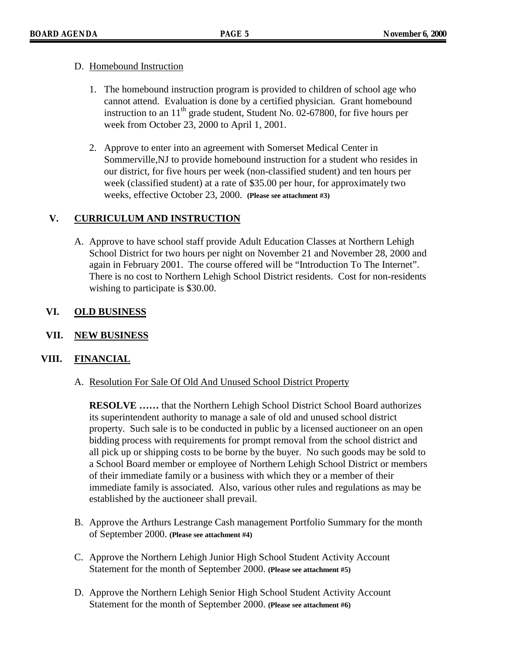#### D. Homebound Instruction

- 1. The homebound instruction program is provided to children of school age who cannot attend. Evaluation is done by a certified physician. Grant homebound instruction to an  $11<sup>th</sup>$  grade student, Student No. 02-67800, for five hours per week from October 23, 2000 to April 1, 2001.
- 2. Approve to enter into an agreement with Somerset Medical Center in Sommerville,NJ to provide homebound instruction for a student who resides in our district, for five hours per week (non-classified student) and ten hours per week (classified student) at a rate of \$35.00 per hour, for approximately two weeks, effective October 23, 2000. **(Please see attachment #3)**

## **V. CURRICULUM AND INSTRUCTION**

A. Approve to have school staff provide Adult Education Classes at Northern Lehigh School District for two hours per night on November 21 and November 28, 2000 and again in February 2001. The course offered will be "Introduction To The Internet". There is no cost to Northern Lehigh School District residents. Cost for non-residents wishing to participate is \$30.00.

## **VI. OLD BUSINESS**

**VII. NEW BUSINESS**

# **VIII. FINANCIAL**

A. Resolution For Sale Of Old And Unused School District Property

**RESOLVE ……** that the Northern Lehigh School District School Board authorizes its superintendent authority to manage a sale of old and unused school district property. Such sale is to be conducted in public by a licensed auctioneer on an open bidding process with requirements for prompt removal from the school district and all pick up or shipping costs to be borne by the buyer. No such goods may be sold to a School Board member or employee of Northern Lehigh School District or members of their immediate family or a business with which they or a member of their immediate family is associated. Also, various other rules and regulations as may be established by the auctioneer shall prevail.

- B. Approve the Arthurs Lestrange Cash management Portfolio Summary for the month of September 2000. **(Please see attachment #4)**
- C. Approve the Northern Lehigh Junior High School Student Activity Account Statement for the month of September 2000. **(Please see attachment #5)**
- D. Approve the Northern Lehigh Senior High School Student Activity Account Statement for the month of September 2000. **(Please see attachment #6)**